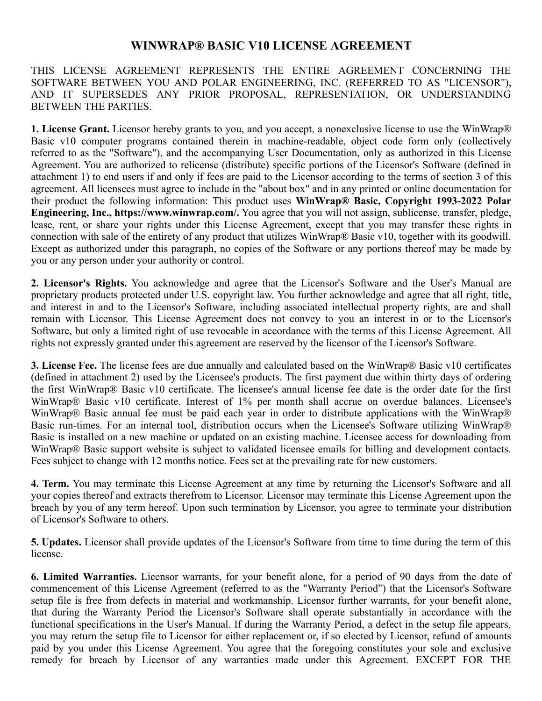## **WINWRAP® BASIC V10 LICENSE AGREEMENT**

THIS LICENSE AGREEMENT REPRESENTS THE ENTIRE AGREEMENT CONCERNING THE SOFTWARE BETWEEN YOU AND POLAR ENGINEERING, INC. (REFERRED TO AS "LICENSOR"), AND IT SUPERSEDES ANY PRIOR PROPOSAL, REPRESENTATION, OR UNDERSTANDING BETWEEN THE PARTIES.

**1. License Grant.** Licensor hereby grants to you, and you accept, a nonexclusive license to use the WinWrap® Basic v10 computer programs contained therein in machine-readable, object code form only (collectively referred to as the "Software"), and the accompanying User Documentation, only as authorized in this License Agreement. You are authorized to relicense (distribute) specific portions of the Licensor's Software (defined in attachment 1) to end users if and only if fees are paid to the Licensor according to the terms of section 3 of this agreement. All licensees must agree to include in the "about box" and in any printed or online documentation for their product the following information: This product uses **WinWrap® Basic, Copyright 1993-2022 Polar Engineering, Inc., https://www.winwrap.com/.** You agree that you will not assign, sublicense, transfer, pledge, lease, rent, or share your rights under this License Agreement, except that you may transfer these rights in connection with sale of the entirety of any product that utilizes WinWrap® Basic v10, together with its goodwill. Except as authorized under this paragraph, no copies of the Software or any portions thereof may be made by you or any person under your authority or control.

**2. Licensor's Rights.** You acknowledge and agree that the Licensor's Software and the User's Manual are proprietary products protected under U.S. copyright law. You further acknowledge and agree that all right, title, and interest in and to the Licensor's Software, including associated intellectual property rights, are and shall remain with Licensor. This License Agreement does not convey to you an interest in or to the Licensor's Software, but only a limited right of use revocable in accordance with the terms of this License Agreement. All rights not expressly granted under this agreement are reserved by the licensor of the Licensor's Software.

**3. License Fee.** The license fees are due annually and calculated based on the WinWrap® Basic v10 certificates (defined in attachment 2) used by the Licensee's products. The first payment due within thirty days of ordering the first WinWrap® Basic v10 certificate. The licensee's annual license fee date is the order date for the first WinWrap® Basic v10 certificate. Interest of 1% per month shall accrue on overdue balances. Licensee's WinWrap® Basic annual fee must be paid each year in order to distribute applications with the WinWrap® Basic run-times. For an internal tool, distribution occurs when the Licensee's Software utilizing WinWrap® Basic is installed on a new machine or updated on an existing machine. Licensee access for downloading from WinWrap® Basic support website is subject to validated licensee emails for billing and development contacts. Fees subject to change with 12 months notice. Fees set at the prevailing rate for new customers.

**4. Term.** You may terminate this License Agreement at any time by returning the Licensor's Software and all your copies thereof and extracts therefrom to Licensor. Licensor may terminate this License Agreement upon the breach by you of any term hereof. Upon such termination by Licensor, you agree to terminate your distribution of Licensor's Software to others.

**5. Updates.** Licensor shall provide updates of the Licensor's Software from time to time during the term of this license.

**6. Limited Warranties.** Licensor warrants, for your benefit alone, for a period of 90 days from the date of commencement of this License Agreement (referred to as the "Warranty Period") that the Licensor's Software setup file is free from defects in material and workmanship. Licensor further warrants, for your benefit alone, that during the Warranty Period the Licensor's Software shall operate substantially in accordance with the functional specifications in the User's Manual. If during the Warranty Period, a defect in the setup file appears, you may return the setup file to Licensor for either replacement or, if so elected by Licensor, refund of amounts paid by you under this License Agreement. You agree that the foregoing constitutes your sole and exclusive remedy for breach by Licensor of any warranties made under this Agreement. EXCEPT FOR THE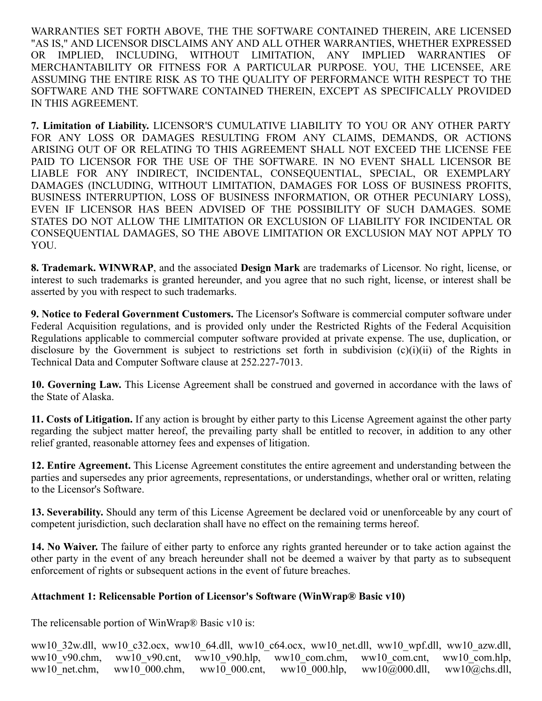WARRANTIES SET FORTH ABOVE, THE THE SOFTWARE CONTAINED THEREIN, ARE LICENSED "AS IS," AND LICENSOR DISCLAIMS ANY AND ALL OTHER WARRANTIES, WHETHER EXPRESSED OR IMPLIED, INCLUDING, WITHOUT LIMITATION, ANY IMPLIED WARRANTIES OF MERCHANTABILITY OR FITNESS FOR A PARTICULAR PURPOSE. YOU, THE LICENSEE, ARE ASSUMING THE ENTIRE RISK AS TO THE QUALITY OF PERFORMANCE WITH RESPECT TO THE SOFTWARE AND THE SOFTWARE CONTAINED THEREIN, EXCEPT AS SPECIFICALLY PROVIDED IN THIS AGREEMENT.

**7. Limitation of Liability.** LICENSOR'S CUMULATIVE LIABILITY TO YOU OR ANY OTHER PARTY FOR ANY LOSS OR DAMAGES RESULTING FROM ANY CLAIMS, DEMANDS, OR ACTIONS ARISING OUT OF OR RELATING TO THIS AGREEMENT SHALL NOT EXCEED THE LICENSE FEE PAID TO LICENSOR FOR THE USE OF THE SOFTWARE. IN NO EVENT SHALL LICENSOR BE LIABLE FOR ANY INDIRECT, INCIDENTAL, CONSEQUENTIAL, SPECIAL, OR EXEMPLARY DAMAGES (INCLUDING, WITHOUT LIMITATION, DAMAGES FOR LOSS OF BUSINESS PROFITS, BUSINESS INTERRUPTION, LOSS OF BUSINESS INFORMATION, OR OTHER PECUNIARY LOSS), EVEN IF LICENSOR HAS BEEN ADVISED OF THE POSSIBILITY OF SUCH DAMAGES. SOME STATES DO NOT ALLOW THE LIMITATION OR EXCLUSION OF LIABILITY FOR INCIDENTAL OR CONSEQUENTIAL DAMAGES, SO THE ABOVE LIMITATION OR EXCLUSION MAY NOT APPLY TO YOU.

**8. Trademark. WINWRAP**, and the associated **Design Mark** are trademarks of Licensor. No right, license, or interest to such trademarks is granted hereunder, and you agree that no such right, license, or interest shall be asserted by you with respect to such trademarks.

**9. Notice to Federal Government Customers.** The Licensor's Software is commercial computer software under Federal Acquisition regulations, and is provided only under the Restricted Rights of the Federal Acquisition Regulations applicable to commercial computer software provided at private expense. The use, duplication, or disclosure by the Government is subject to restrictions set forth in subdivision (c)(i)(ii) of the Rights in Technical Data and Computer Software clause at 252.227-7013.

**10. Governing Law.** This License Agreement shall be construed and governed in accordance with the laws of the State of Alaska.

**11. Costs of Litigation.** If any action is brought by either party to this License Agreement against the other party regarding the subject matter hereof, the prevailing party shall be entitled to recover, in addition to any other relief granted, reasonable attorney fees and expenses of litigation.

**12. Entire Agreement.** This License Agreement constitutes the entire agreement and understanding between the parties and supersedes any prior agreements, representations, or understandings, whether oral or written, relating to the Licensor's Software.

**13. Severability.** Should any term of this License Agreement be declared void or unenforceable by any court of competent jurisdiction, such declaration shall have no effect on the remaining terms hereof.

**14. No Waiver.** The failure of either party to enforce any rights granted hereunder or to take action against the other party in the event of any breach hereunder shall not be deemed a waiver by that party as to subsequent enforcement of rights or subsequent actions in the event of future breaches.

## **Attachment 1: Relicensable Portion of Licensor's Software (WinWrap® Basic v10)**

The relicensable portion of WinWrap® Basic v10 is:

ww10\_32w.dll, ww10\_c32.ocx, ww10\_64.dll, ww10\_c64.ocx, ww10\_net.dll, ww10\_wpf.dll, ww10\_azw.dll, ww10\_v90.chm, ww10\_v90.cnt, ww10\_v90.hlp, ww10\_com.chm, ww10\_com.cnt, ww10\_com.hlp, ww10\_net.chm, ww10\_000.chm, ww10\_000.cnt, ww10\_000.hlp, ww10@000.dll, ww10@chs.dll,